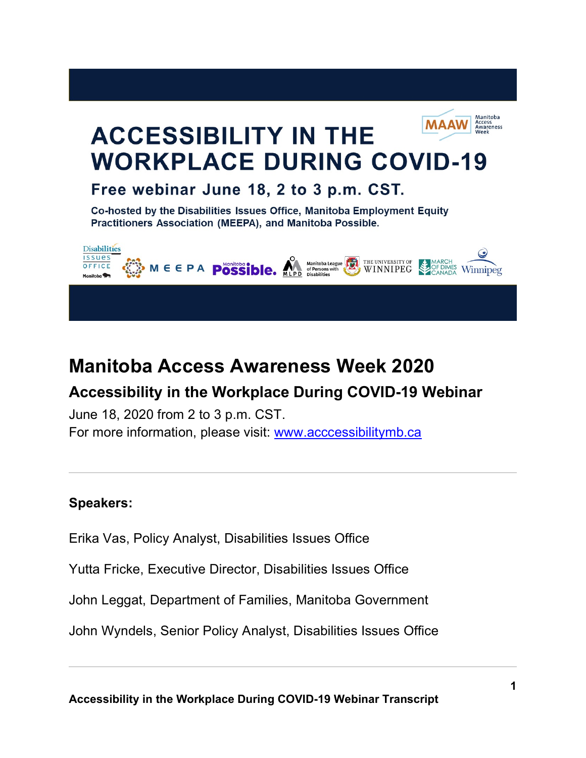

# **Manitoba Access Awareness Week 2020**

# **Accessibility in the Workplace During COVID-19 Webinar**

June 18, 2020 from 2 to 3 p.m. CST. For more information, please visit: [www.acccessibilitymb.ca](http://www.acccessibilitymb.ca/)

# **Speakers:**

Erika Vas, Policy Analyst, Disabilities Issues Office

Yutta Fricke, Executive Director, Disabilities Issues Office

John Leggat, Department of Families, Manitoba Government

John Wyndels, Senior Policy Analyst, Disabilities Issues Office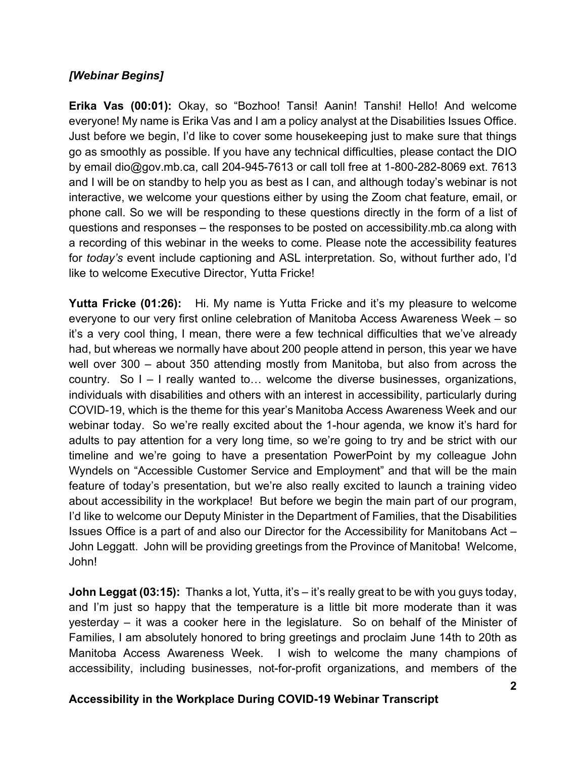### *[Webinar Begins]*

**Erika Vas (00:01):** Okay, so "Bozhoo! Tansi! Aanin! Tanshi! Hello! And welcome everyone! My name is Erika Vas and I am a policy analyst at the Disabilities Issues Office. Just before we begin, I'd like to cover some housekeeping just to make sure that things go as smoothly as possible. If you have any technical difficulties, please contact the DIO by email dio@gov.mb.ca, call 204-945-7613 or call toll free at 1-800-282-8069 ext. 7613 and I will be on standby to help you as best as I can, and although today's webinar is not interactive, we welcome your questions either by using the Zoom chat feature, email, or phone call. So we will be responding to these questions directly in the form of a list of questions and responses – the responses to be posted on accessibility.mb.ca along with a recording of this webinar in the weeks to come. Please note the accessibility features for *today's* event include captioning and ASL interpretation. So, without further ado, I'd like to welcome Executive Director, Yutta Fricke!

**Yutta Fricke (01:26):** Hi. My name is Yutta Fricke and it's my pleasure to welcome everyone to our very first online celebration of Manitoba Access Awareness Week – so it's a very cool thing, I mean, there were a few technical difficulties that we've already had, but whereas we normally have about 200 people attend in person, this year we have well over 300 – about 350 attending mostly from Manitoba, but also from across the country. So I – I really wanted to… welcome the diverse businesses, organizations, individuals with disabilities and others with an interest in accessibility, particularly during COVID-19, which is the theme for this year's Manitoba Access Awareness Week and our webinar today. So we're really excited about the 1-hour agenda, we know it's hard for adults to pay attention for a very long time, so we're going to try and be strict with our timeline and we're going to have a presentation PowerPoint by my colleague John Wyndels on "Accessible Customer Service and Employment" and that will be the main feature of today's presentation, but we're also really excited to launch a training video about accessibility in the workplace! But before we begin the main part of our program, I'd like to welcome our Deputy Minister in the Department of Families, that the Disabilities Issues Office is a part of and also our Director for the Accessibility for Manitobans Act – John Leggatt. John will be providing greetings from the Province of Manitoba! Welcome, John!

**John Leggat (03:15):** Thanks a lot, Yutta, it's – it's really great to be with you guys today, and I'm just so happy that the temperature is a little bit more moderate than it was yesterday – it was a cooker here in the legislature. So on behalf of the Minister of Families, I am absolutely honored to bring greetings and proclaim June 14th to 20th as Manitoba Access Awareness Week. I wish to welcome the many champions of accessibility, including businesses, not-for-profit organizations, and members of the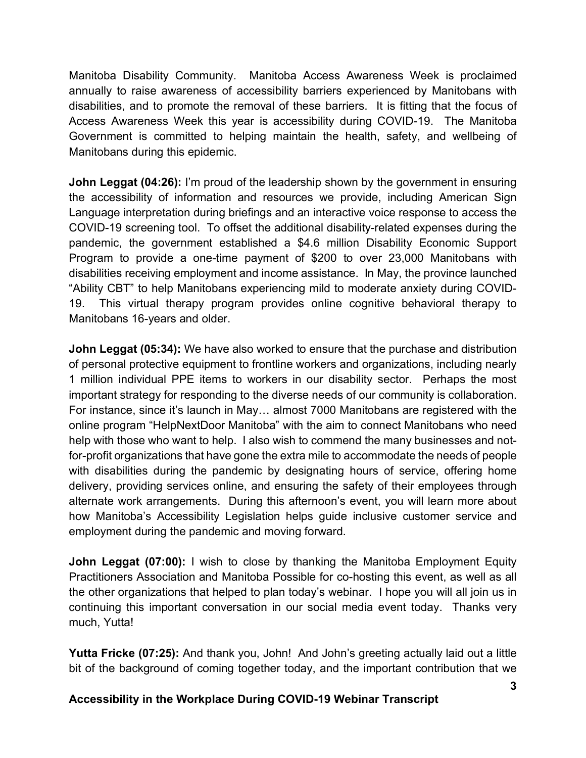Manitoba Disability Community. Manitoba Access Awareness Week is proclaimed annually to raise awareness of accessibility barriers experienced by Manitobans with disabilities, and to promote the removal of these barriers. It is fitting that the focus of Access Awareness Week this year is accessibility during COVID-19. The Manitoba Government is committed to helping maintain the health, safety, and wellbeing of Manitobans during this epidemic.

**John Leggat (04:26):** I'm proud of the leadership shown by the government in ensuring the accessibility of information and resources we provide, including American Sign Language interpretation during briefings and an interactive voice response to access the COVID-19 screening tool. To offset the additional disability-related expenses during the pandemic, the government established a \$4.6 million Disability Economic Support Program to provide a one-time payment of \$200 to over 23,000 Manitobans with disabilities receiving employment and income assistance. In May, the province launched "Ability CBT" to help Manitobans experiencing mild to moderate anxiety during COVID-19. This virtual therapy program provides online cognitive behavioral therapy to Manitobans 16-years and older.

**John Leggat (05:34):** We have also worked to ensure that the purchase and distribution of personal protective equipment to frontline workers and organizations, including nearly 1 million individual PPE items to workers in our disability sector. Perhaps the most important strategy for responding to the diverse needs of our community is collaboration. For instance, since it's launch in May… almost 7000 Manitobans are registered with the online program "HelpNextDoor Manitoba" with the aim to connect Manitobans who need help with those who want to help. I also wish to commend the many businesses and notfor-profit organizations that have gone the extra mile to accommodate the needs of people with disabilities during the pandemic by designating hours of service, offering home delivery, providing services online, and ensuring the safety of their employees through alternate work arrangements. During this afternoon's event, you will learn more about how Manitoba's Accessibility Legislation helps guide inclusive customer service and employment during the pandemic and moving forward.

**John Leggat (07:00):** I wish to close by thanking the Manitoba Employment Equity Practitioners Association and Manitoba Possible for co-hosting this event, as well as all the other organizations that helped to plan today's webinar. I hope you will all join us in continuing this important conversation in our social media event today. Thanks very much, Yutta!

**Yutta Fricke (07:25):** And thank you, John! And John's greeting actually laid out a little bit of the background of coming together today, and the important contribution that we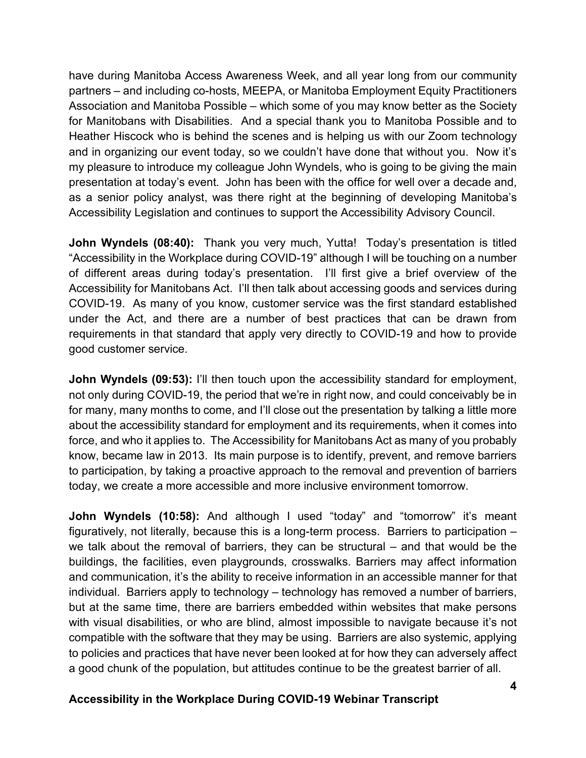have during Manitoba Access Awareness Week, and all year long from our community partners – and including co-hosts, MEEPA, or Manitoba Employment Equity Practitioners Association and Manitoba Possible – which some of you may know better as the Society for Manitobans with Disabilities. And a special thank you to Manitoba Possible and to Heather Hiscock who is behind the scenes and is helping us with our Zoom technology and in organizing our event today, so we couldn't have done that without you. Now it's my pleasure to introduce my colleague John Wyndels, who is going to be giving the main presentation at today's event. John has been with the office for well over a decade and, as a senior policy analyst, was there right at the beginning of developing Manitoba's Accessibility Legislation and continues to support the Accessibility Advisory Council.

**John Wyndels (08:40):** Thank you very much, Yutta! Today's presentation is titled "Accessibility in the Workplace during COVID-19" although I will be touching on a number of different areas during today's presentation. I'll first give a brief overview of the Accessibility for Manitobans Act. I'll then talk about accessing goods and services during COVID-19. As many of you know, customer service was the first standard established under the Act, and there are a number of best practices that can be drawn from requirements in that standard that apply very directly to COVID-19 and how to provide good customer service.

**John Wyndels (09:53):** I'll then touch upon the accessibility standard for employment, not only during COVID-19, the period that we're in right now, and could conceivably be in for many, many months to come, and I'll close out the presentation by talking a little more about the accessibility standard for employment and its requirements, when it comes into force, and who it applies to. The Accessibility for Manitobans Act as many of you probably know, became law in 2013. Its main purpose is to identify, prevent, and remove barriers to participation, by taking a proactive approach to the removal and prevention of barriers today, we create a more accessible and more inclusive environment tomorrow.

**John Wyndels (10:58):** And although I used "today" and "tomorrow" it's meant figuratively, not literally, because this is a long-term process. Barriers to participation – we talk about the removal of barriers, they can be structural – and that would be the buildings, the facilities, even playgrounds, crosswalks. Barriers may affect information and communication, it's the ability to receive information in an accessible manner for that individual. Barriers apply to technology – technology has removed a number of barriers, but at the same time, there are barriers embedded within websites that make persons with visual disabilities, or who are blind, almost impossible to navigate because it's not compatible with the software that they may be using. Barriers are also systemic, applying to policies and practices that have never been looked at for how they can adversely affect a good chunk of the population, but attitudes continue to be the greatest barrier of all.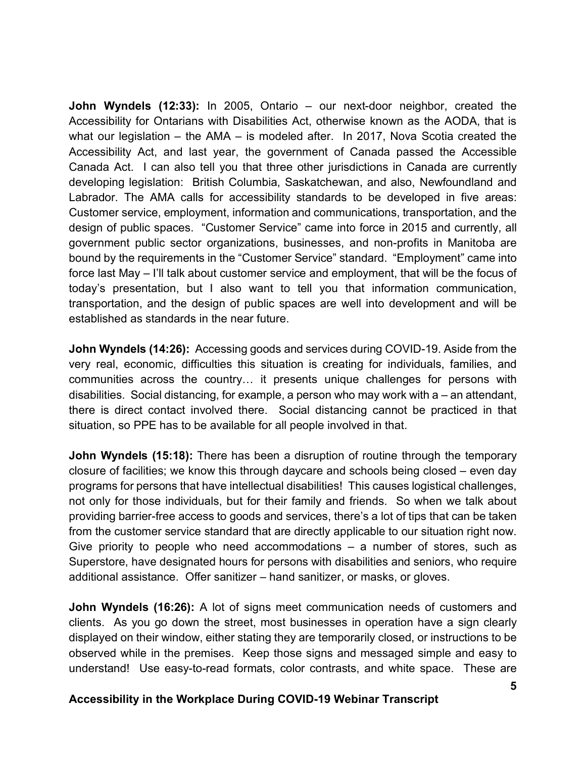**John Wyndels (12:33):** In 2005, Ontario – our next-door neighbor, created the Accessibility for Ontarians with Disabilities Act, otherwise known as the AODA, that is what our legislation – the AMA – is modeled after. In 2017, Nova Scotia created the Accessibility Act, and last year, the government of Canada passed the Accessible Canada Act. I can also tell you that three other jurisdictions in Canada are currently developing legislation: British Columbia, Saskatchewan, and also, Newfoundland and Labrador. The AMA calls for accessibility standards to be developed in five areas: Customer service, employment, information and communications, transportation, and the design of public spaces. "Customer Service" came into force in 2015 and currently, all government public sector organizations, businesses, and non-profits in Manitoba are bound by the requirements in the "Customer Service" standard. "Employment" came into force last May – I'll talk about customer service and employment, that will be the focus of today's presentation, but I also want to tell you that information communication, transportation, and the design of public spaces are well into development and will be established as standards in the near future.

**John Wyndels (14:26):** Accessing goods and services during COVID-19. Aside from the very real, economic, difficulties this situation is creating for individuals, families, and communities across the country… it presents unique challenges for persons with disabilities. Social distancing, for example, a person who may work with a – an attendant, there is direct contact involved there. Social distancing cannot be practiced in that situation, so PPE has to be available for all people involved in that.

**John Wyndels (15:18):** There has been a disruption of routine through the temporary closure of facilities; we know this through daycare and schools being closed – even day programs for persons that have intellectual disabilities! This causes logistical challenges, not only for those individuals, but for their family and friends. So when we talk about providing barrier-free access to goods and services, there's a lot of tips that can be taken from the customer service standard that are directly applicable to our situation right now. Give priority to people who need accommodations  $-$  a number of stores, such as Superstore, have designated hours for persons with disabilities and seniors, who require additional assistance. Offer sanitizer – hand sanitizer, or masks, or gloves.

**John Wyndels (16:26):** A lot of signs meet communication needs of customers and clients. As you go down the street, most businesses in operation have a sign clearly displayed on their window, either stating they are temporarily closed, or instructions to be observed while in the premises. Keep those signs and messaged simple and easy to understand! Use easy-to-read formats, color contrasts, and white space. These are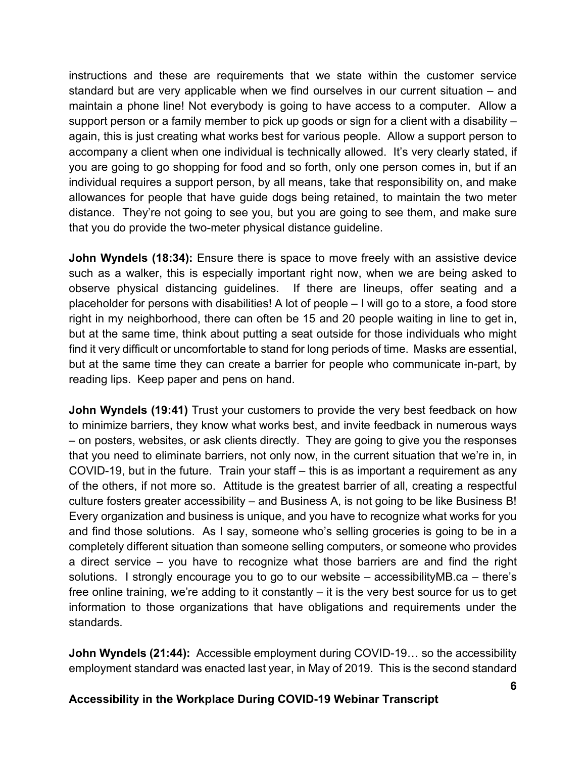instructions and these are requirements that we state within the customer service standard but are very applicable when we find ourselves in our current situation – and maintain a phone line! Not everybody is going to have access to a computer. Allow a support person or a family member to pick up goods or sign for a client with a disability – again, this is just creating what works best for various people. Allow a support person to accompany a client when one individual is technically allowed. It's very clearly stated, if you are going to go shopping for food and so forth, only one person comes in, but if an individual requires a support person, by all means, take that responsibility on, and make allowances for people that have guide dogs being retained, to maintain the two meter distance. They're not going to see you, but you are going to see them, and make sure that you do provide the two-meter physical distance guideline.

**John Wyndels (18:34):** Ensure there is space to move freely with an assistive device such as a walker, this is especially important right now, when we are being asked to observe physical distancing guidelines. If there are lineups, offer seating and a placeholder for persons with disabilities! A lot of people – I will go to a store, a food store right in my neighborhood, there can often be 15 and 20 people waiting in line to get in, but at the same time, think about putting a seat outside for those individuals who might find it very difficult or uncomfortable to stand for long periods of time. Masks are essential, but at the same time they can create a barrier for people who communicate in-part, by reading lips. Keep paper and pens on hand.

**John Wyndels (19:41)** Trust your customers to provide the very best feedback on how to minimize barriers, they know what works best, and invite feedback in numerous ways – on posters, websites, or ask clients directly. They are going to give you the responses that you need to eliminate barriers, not only now, in the current situation that we're in, in COVID-19, but in the future. Train your staff – this is as important a requirement as any of the others, if not more so. Attitude is the greatest barrier of all, creating a respectful culture fosters greater accessibility – and Business A, is not going to be like Business B! Every organization and business is unique, and you have to recognize what works for you and find those solutions. As I say, someone who's selling groceries is going to be in a completely different situation than someone selling computers, or someone who provides a direct service – you have to recognize what those barriers are and find the right solutions. I strongly encourage you to go to our website – accessibilityMB.ca – there's free online training, we're adding to it constantly – it is the very best source for us to get information to those organizations that have obligations and requirements under the standards.

**John Wyndels (21:44):** Accessible employment during COVID-19… so the accessibility employment standard was enacted last year, in May of 2019. This is the second standard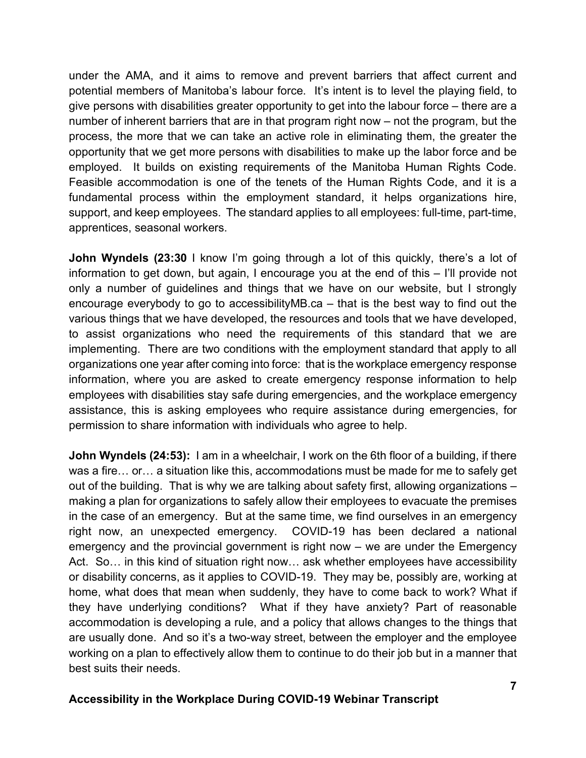under the AMA, and it aims to remove and prevent barriers that affect current and potential members of Manitoba's labour force. It's intent is to level the playing field, to give persons with disabilities greater opportunity to get into the labour force – there are a number of inherent barriers that are in that program right now – not the program, but the process, the more that we can take an active role in eliminating them, the greater the opportunity that we get more persons with disabilities to make up the labor force and be employed. It builds on existing requirements of the Manitoba Human Rights Code. Feasible accommodation is one of the tenets of the Human Rights Code, and it is a fundamental process within the employment standard, it helps organizations hire, support, and keep employees. The standard applies to all employees: full-time, part-time, apprentices, seasonal workers.

**John Wyndels (23:30** I know I'm going through a lot of this quickly, there's a lot of information to get down, but again, I encourage you at the end of this – I'll provide not only a number of guidelines and things that we have on our website, but I strongly encourage everybody to go to accessibilityMB.ca – that is the best way to find out the various things that we have developed, the resources and tools that we have developed, to assist organizations who need the requirements of this standard that we are implementing. There are two conditions with the employment standard that apply to all organizations one year after coming into force: that is the workplace emergency response information, where you are asked to create emergency response information to help employees with disabilities stay safe during emergencies, and the workplace emergency assistance, this is asking employees who require assistance during emergencies, for permission to share information with individuals who agree to help.

**John Wyndels (24:53):** I am in a wheelchair, I work on the 6th floor of a building, if there was a fire… or… a situation like this, accommodations must be made for me to safely get out of the building. That is why we are talking about safety first, allowing organizations – making a plan for organizations to safely allow their employees to evacuate the premises in the case of an emergency. But at the same time, we find ourselves in an emergency right now, an unexpected emergency. COVID-19 has been declared a national emergency and the provincial government is right now – we are under the Emergency Act. So… in this kind of situation right now… ask whether employees have accessibility or disability concerns, as it applies to COVID-19. They may be, possibly are, working at home, what does that mean when suddenly, they have to come back to work? What if they have underlying conditions? What if they have anxiety? Part of reasonable accommodation is developing a rule, and a policy that allows changes to the things that are usually done. And so it's a two-way street, between the employer and the employee working on a plan to effectively allow them to continue to do their job but in a manner that best suits their needs.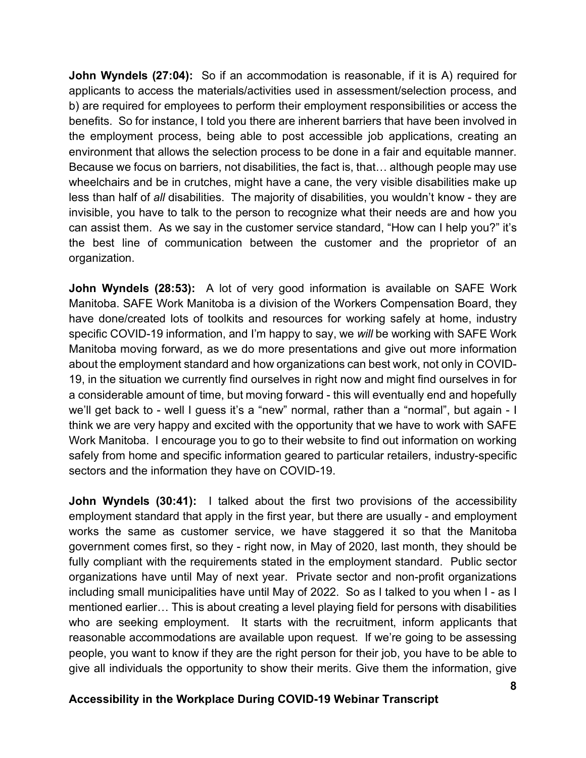**John Wyndels (27:04):** So if an accommodation is reasonable, if it is A) required for applicants to access the materials/activities used in assessment/selection process, and b) are required for employees to perform their employment responsibilities or access the benefits. So for instance, I told you there are inherent barriers that have been involved in the employment process, being able to post accessible job applications, creating an environment that allows the selection process to be done in a fair and equitable manner. Because we focus on barriers, not disabilities, the fact is, that… although people may use wheelchairs and be in crutches, might have a cane, the very visible disabilities make up less than half of *all* disabilities. The majority of disabilities, you wouldn't know - they are invisible, you have to talk to the person to recognize what their needs are and how you can assist them. As we say in the customer service standard, "How can I help you?" it's the best line of communication between the customer and the proprietor of an organization.

**John Wyndels (28:53):** A lot of very good information is available on SAFE Work Manitoba. SAFE Work Manitoba is a division of the Workers Compensation Board, they have done/created lots of toolkits and resources for working safely at home, industry specific COVID-19 information, and I'm happy to say, we *will* be working with SAFE Work Manitoba moving forward, as we do more presentations and give out more information about the employment standard and how organizations can best work, not only in COVID-19, in the situation we currently find ourselves in right now and might find ourselves in for a considerable amount of time, but moving forward - this will eventually end and hopefully we'll get back to - well I guess it's a "new" normal, rather than a "normal", but again - I think we are very happy and excited with the opportunity that we have to work with SAFE Work Manitoba. I encourage you to go to their website to find out information on working safely from home and specific information geared to particular retailers, industry-specific sectors and the information they have on COVID-19.

**John Wyndels (30:41):** I talked about the first two provisions of the accessibility employment standard that apply in the first year, but there are usually - and employment works the same as customer service, we have staggered it so that the Manitoba government comes first, so they - right now, in May of 2020, last month, they should be fully compliant with the requirements stated in the employment standard. Public sector organizations have until May of next year. Private sector and non-profit organizations including small municipalities have until May of 2022. So as I talked to you when I - as I mentioned earlier… This is about creating a level playing field for persons with disabilities who are seeking employment. It starts with the recruitment, inform applicants that reasonable accommodations are available upon request. If we're going to be assessing people, you want to know if they are the right person for their job, you have to be able to give all individuals the opportunity to show their merits. Give them the information, give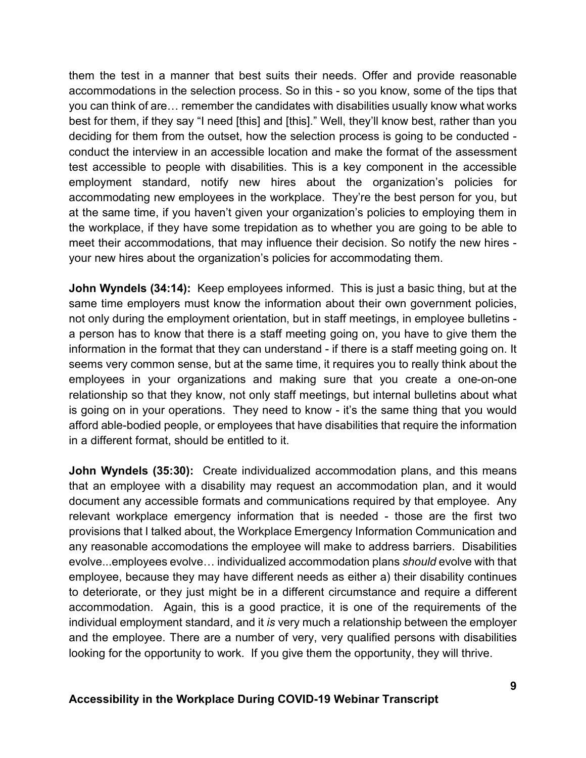them the test in a manner that best suits their needs. Offer and provide reasonable accommodations in the selection process. So in this - so you know, some of the tips that you can think of are… remember the candidates with disabilities usually know what works best for them, if they say "I need [this] and [this]." Well, they'll know best, rather than you deciding for them from the outset, how the selection process is going to be conducted conduct the interview in an accessible location and make the format of the assessment test accessible to people with disabilities. This is a key component in the accessible employment standard, notify new hires about the organization's policies for accommodating new employees in the workplace. They're the best person for you, but at the same time, if you haven't given your organization's policies to employing them in the workplace, if they have some trepidation as to whether you are going to be able to meet their accommodations, that may influence their decision. So notify the new hires your new hires about the organization's policies for accommodating them.

**John Wyndels (34:14):** Keep employees informed. This is just a basic thing, but at the same time employers must know the information about their own government policies, not only during the employment orientation, but in staff meetings, in employee bulletins a person has to know that there is a staff meeting going on, you have to give them the information in the format that they can understand - if there is a staff meeting going on. It seems very common sense, but at the same time, it requires you to really think about the employees in your organizations and making sure that you create a one-on-one relationship so that they know, not only staff meetings, but internal bulletins about what is going on in your operations. They need to know - it's the same thing that you would afford able-bodied people, or employees that have disabilities that require the information in a different format, should be entitled to it.

**John Wyndels (35:30):** Create individualized accommodation plans, and this means that an employee with a disability may request an accommodation plan, and it would document any accessible formats and communications required by that employee. Any relevant workplace emergency information that is needed - those are the first two provisions that I talked about, the Workplace Emergency Information Communication and any reasonable accomodations the employee will make to address barriers. Disabilities evolve...employees evolve… individualized accommodation plans *should* evolve with that employee, because they may have different needs as either a) their disability continues to deteriorate, or they just might be in a different circumstance and require a different accommodation. Again, this is a good practice, it is one of the requirements of the individual employment standard, and it *is* very much a relationship between the employer and the employee. There are a number of very, very qualified persons with disabilities looking for the opportunity to work. If you give them the opportunity, they will thrive.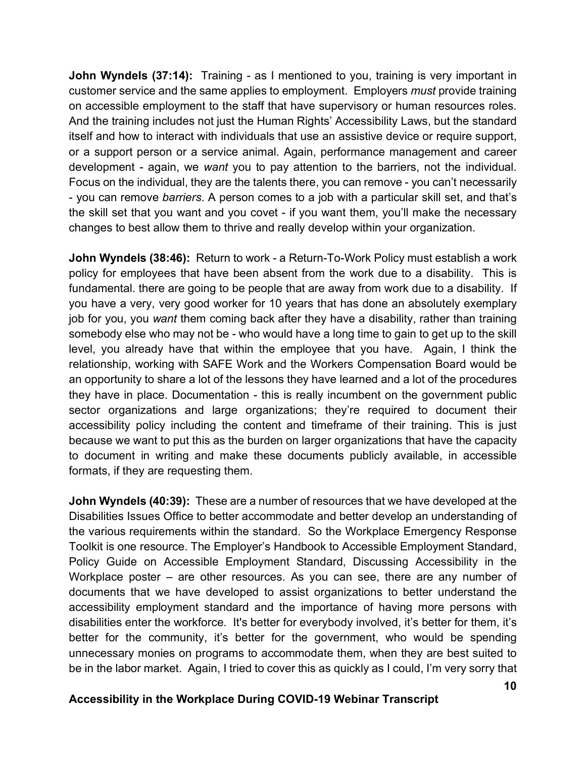**John Wyndels (37:14):** Training - as I mentioned to you, training is very important in customer service and the same applies to employment. Employers *must* provide training on accessible employment to the staff that have supervisory or human resources roles. And the training includes not just the Human Rights' Accessibility Laws, but the standard itself and how to interact with individuals that use an assistive device or require support, or a support person or a service animal. Again, performance management and career development - again, we *want* you to pay attention to the barriers, not the individual. Focus on the individual, they are the talents there, you can remove - you can't necessarily - you can remove *barriers*. A person comes to a job with a particular skill set, and that's the skill set that you want and you covet - if you want them, you'll make the necessary changes to best allow them to thrive and really develop within your organization.

**John Wyndels (38:46):** Return to work - a Return-To-Work Policy must establish a work policy for employees that have been absent from the work due to a disability. This is fundamental. there are going to be people that are away from work due to a disability. If you have a very, very good worker for 10 years that has done an absolutely exemplary job for you, you *want* them coming back after they have a disability, rather than training somebody else who may not be - who would have a long time to gain to get up to the skill level, you already have that within the employee that you have. Again, I think the relationship, working with SAFE Work and the Workers Compensation Board would be an opportunity to share a lot of the lessons they have learned and a lot of the procedures they have in place. Documentation - this is really incumbent on the government public sector organizations and large organizations; they're required to document their accessibility policy including the content and timeframe of their training. This is just because we want to put this as the burden on larger organizations that have the capacity to document in writing and make these documents publicly available, in accessible formats, if they are requesting them.

**John Wyndels (40:39):** These are a number of resources that we have developed at the Disabilities Issues Office to better accommodate and better develop an understanding of the various requirements within the standard. So the Workplace Emergency Response Toolkit is one resource. The Employer's Handbook to Accessible Employment Standard, Policy Guide on Accessible Employment Standard, Discussing Accessibility in the Workplace poster – are other resources. As you can see, there are any number of documents that we have developed to assist organizations to better understand the accessibility employment standard and the importance of having more persons with disabilities enter the workforce. It's better for everybody involved, it's better for them, it's better for the community, it's better for the government, who would be spending unnecessary monies on programs to accommodate them, when they are best suited to be in the labor market. Again, I tried to cover this as quickly as I could, I'm very sorry that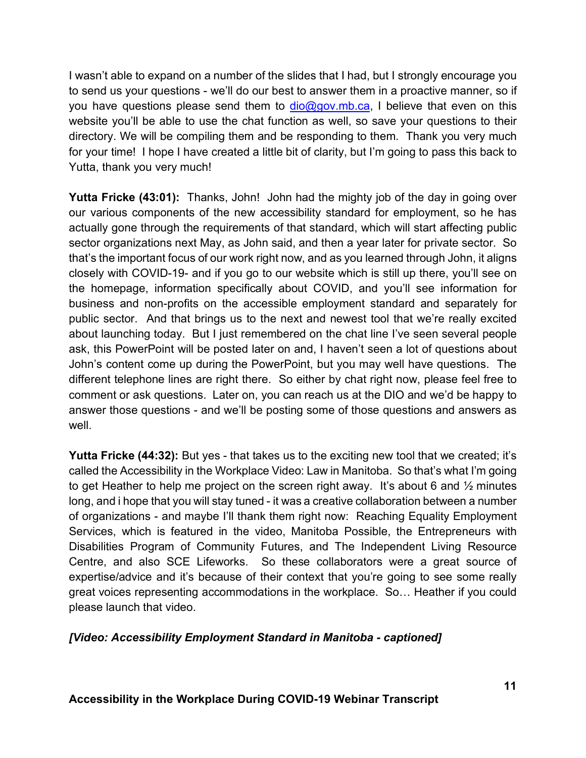I wasn't able to expand on a number of the slides that I had, but I strongly encourage you to send us your questions - we'll do our best to answer them in a proactive manner, so if you have questions please send them to  $\frac{d}{d}$   $\frac{d}{d}$   $\frac{d}{d}$   $\frac{d}{d}$  and  $\frac{d}{d}$  believe that even on this website you'll be able to use the chat function as well, so save your questions to their directory. We will be compiling them and be responding to them. Thank you very much for your time! I hope I have created a little bit of clarity, but I'm going to pass this back to Yutta, thank you very much!

**Yutta Fricke (43:01):** Thanks, John! John had the mighty job of the day in going over our various components of the new accessibility standard for employment, so he has actually gone through the requirements of that standard, which will start affecting public sector organizations next May, as John said, and then a year later for private sector. So that's the important focus of our work right now, and as you learned through John, it aligns closely with COVID-19- and if you go to our website which is still up there, you'll see on the homepage, information specifically about COVID, and you'll see information for business and non-profits on the accessible employment standard and separately for public sector. And that brings us to the next and newest tool that we're really excited about launching today. But I just remembered on the chat line I've seen several people ask, this PowerPoint will be posted later on and, I haven't seen a lot of questions about John's content come up during the PowerPoint, but you may well have questions. The different telephone lines are right there. So either by chat right now, please feel free to comment or ask questions. Later on, you can reach us at the DIO and we'd be happy to answer those questions - and we'll be posting some of those questions and answers as well.

**Yutta Fricke (44:32):** But yes - that takes us to the exciting new tool that we created; it's called the Accessibility in the Workplace Video: Law in Manitoba. So that's what I'm going to get Heather to help me project on the screen right away. It's about 6 and  $\frac{1}{2}$  minutes long, and i hope that you will stay tuned - it was a creative collaboration between a number of organizations - and maybe I'll thank them right now: Reaching Equality Employment Services, which is featured in the video, Manitoba Possible, the Entrepreneurs with Disabilities Program of Community Futures, and The Independent Living Resource Centre, and also SCE Lifeworks. So these collaborators were a great source of expertise/advice and it's because of their context that you're going to see some really great voices representing accommodations in the workplace. So… Heather if you could please launch that video.

#### *[Video: Accessibility Employment Standard in Manitoba - captioned]*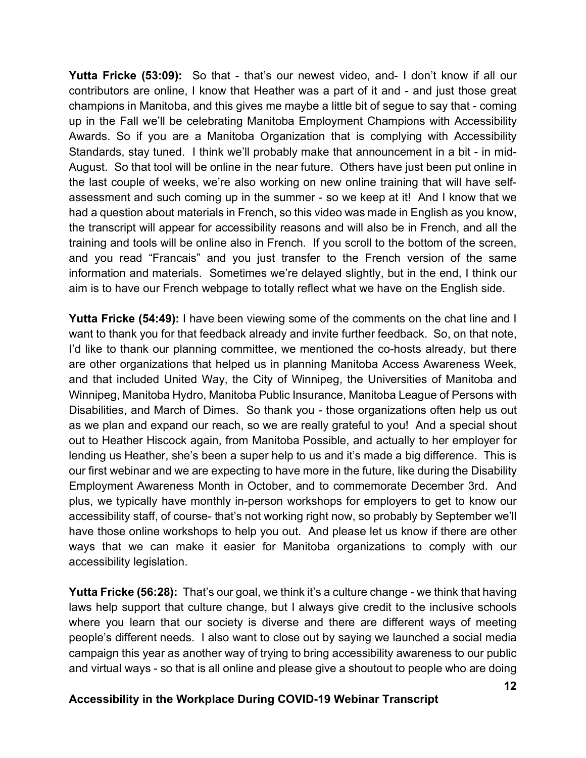**Yutta Fricke (53:09):** So that - that's our newest video, and- I don't know if all our contributors are online, I know that Heather was a part of it and - and just those great champions in Manitoba, and this gives me maybe a little bit of segue to say that - coming up in the Fall we'll be celebrating Manitoba Employment Champions with Accessibility Awards. So if you are a Manitoba Organization that is complying with Accessibility Standards, stay tuned. I think we'll probably make that announcement in a bit - in mid-August. So that tool will be online in the near future. Others have just been put online in the last couple of weeks, we're also working on new online training that will have selfassessment and such coming up in the summer - so we keep at it! And I know that we had a question about materials in French, so this video was made in English as you know, the transcript will appear for accessibility reasons and will also be in French, and all the training and tools will be online also in French. If you scroll to the bottom of the screen, and you read "Francais" and you just transfer to the French version of the same information and materials. Sometimes we're delayed slightly, but in the end, I think our aim is to have our French webpage to totally reflect what we have on the English side.

**Yutta Fricke (54:49):** I have been viewing some of the comments on the chat line and I want to thank you for that feedback already and invite further feedback. So, on that note, I'd like to thank our planning committee, we mentioned the co-hosts already, but there are other organizations that helped us in planning Manitoba Access Awareness Week, and that included United Way, the City of Winnipeg, the Universities of Manitoba and Winnipeg, Manitoba Hydro, Manitoba Public Insurance, Manitoba League of Persons with Disabilities, and March of Dimes. So thank you - those organizations often help us out as we plan and expand our reach, so we are really grateful to you! And a special shout out to Heather Hiscock again, from Manitoba Possible, and actually to her employer for lending us Heather, she's been a super help to us and it's made a big difference. This is our first webinar and we are expecting to have more in the future, like during the Disability Employment Awareness Month in October, and to commemorate December 3rd. And plus, we typically have monthly in-person workshops for employers to get to know our accessibility staff, of course- that's not working right now, so probably by September we'll have those online workshops to help you out. And please let us know if there are other ways that we can make it easier for Manitoba organizations to comply with our accessibility legislation.

**Yutta Fricke (56:28):** That's our goal, we think it's a culture change - we think that having laws help support that culture change, but I always give credit to the inclusive schools where you learn that our society is diverse and there are different ways of meeting people's different needs. I also want to close out by saying we launched a social media campaign this year as another way of trying to bring accessibility awareness to our public and virtual ways - so that is all online and please give a shoutout to people who are doing